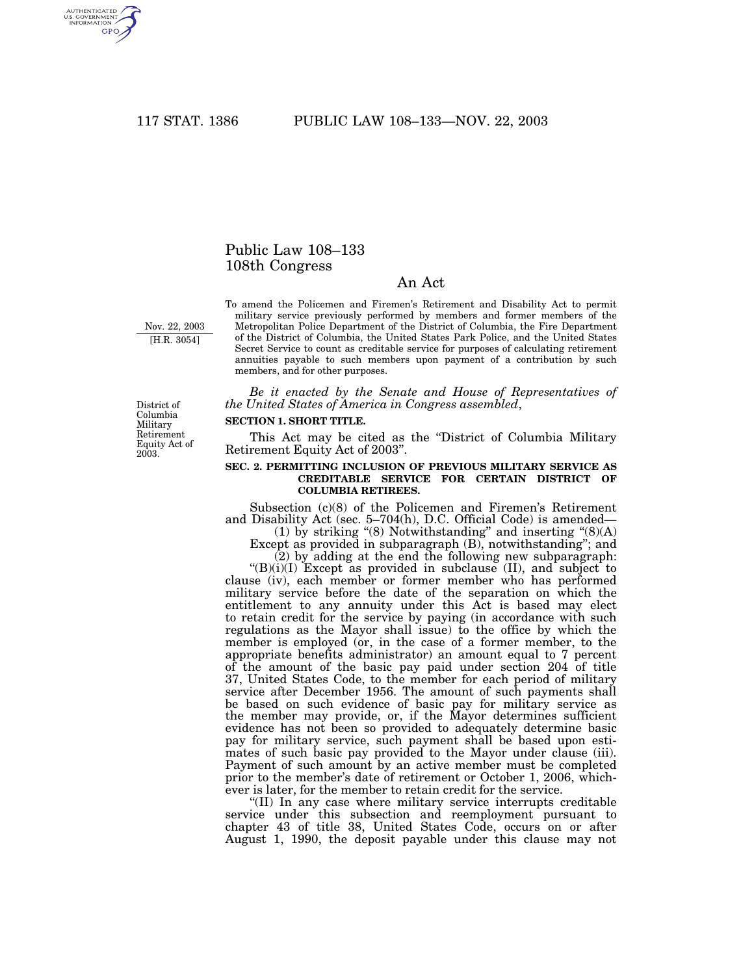AUTHENTICATED<br>U.S. GOVERNMENT<br>INFORMATION **GPO** 

# Public Law 108–133 108th Congress

# An Act

Nov. 22, 2003 [H.R. 3054]

To amend the Policemen and Firemen's Retirement and Disability Act to permit military service previously performed by members and former members of the Metropolitan Police Department of the District of Columbia, the Fire Department of the District of Columbia, the United States Park Police, and the United States Secret Service to count as creditable service for purposes of calculating retirement annuities payable to such members upon payment of a contribution by such members, and for other purposes.

*Be it enacted by the Senate and House of Representatives of the United States of America in Congress assembled*,

#### District of Columbia Military Retirement Equity Act of 2003.

### **SECTION 1. SHORT TITLE.**

This Act may be cited as the ''District of Columbia Military Retirement Equity Act of 2003''.

## **SEC. 2. PERMITTING INCLUSION OF PREVIOUS MILITARY SERVICE AS CREDITABLE SERVICE FOR CERTAIN DISTRICT OF COLUMBIA RETIREES.**

Subsection (c)(8) of the Policemen and Firemen's Retirement and Disability Act (sec. 5–704(h), D.C. Official Code) is amended—

(1) by striking "(8) Notwithstanding" and inserting " $(8)(A)$ Except as provided in subparagraph (B), notwithstanding''; and

(2) by adding at the end the following new subparagraph: " $(B)(i)(I)$  Except as provided in subclause (II), and subject to

clause (iv), each member or former member who has performed military service before the date of the separation on which the entitlement to any annuity under this Act is based may elect to retain credit for the service by paying (in accordance with such regulations as the Mayor shall issue) to the office by which the member is employed (or, in the case of a former member, to the appropriate benefits administrator) an amount equal to 7 percent of the amount of the basic pay paid under section 204 of title 37, United States Code, to the member for each period of military service after December 1956. The amount of such payments shall be based on such evidence of basic pay for military service as the member may provide, or, if the Mayor determines sufficient evidence has not been so provided to adequately determine basic pay for military service, such payment shall be based upon estimates of such basic pay provided to the Mayor under clause (iii). Payment of such amount by an active member must be completed prior to the member's date of retirement or October 1, 2006, whichever is later, for the member to retain credit for the service.

''(II) In any case where military service interrupts creditable service under this subsection and reemployment pursuant to chapter 43 of title 38, United States Code, occurs on or after August 1, 1990, the deposit payable under this clause may not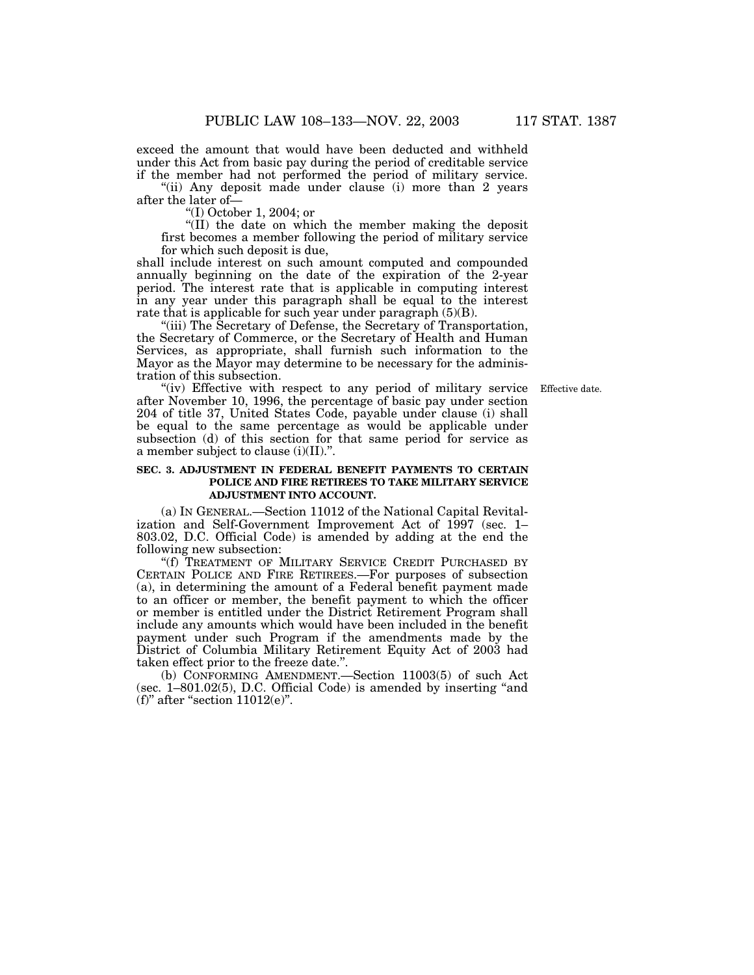exceed the amount that would have been deducted and withheld under this Act from basic pay during the period of creditable service if the member had not performed the period of military service.

"(ii) Any deposit made under clause (i) more than 2 years after the later of—

''(I) October 1, 2004; or

''(II) the date on which the member making the deposit first becomes a member following the period of military service for which such deposit is due,

shall include interest on such amount computed and compounded annually beginning on the date of the expiration of the 2-year period. The interest rate that is applicable in computing interest in any year under this paragraph shall be equal to the interest rate that is applicable for such year under paragraph (5)(B).

''(iii) The Secretary of Defense, the Secretary of Transportation, the Secretary of Commerce, or the Secretary of Health and Human Services, as appropriate, shall furnish such information to the Mayor as the Mayor may determine to be necessary for the administration of this subsection.

Effective date.

"(iv) Effective with respect to any period of military service after November 10, 1996, the percentage of basic pay under section 204 of title 37, United States Code, payable under clause (i) shall be equal to the same percentage as would be applicable under subsection (d) of this section for that same period for service as a member subject to clause (i)(II).''.

# **SEC. 3. ADJUSTMENT IN FEDERAL BENEFIT PAYMENTS TO CERTAIN POLICE AND FIRE RETIREES TO TAKE MILITARY SERVICE ADJUSTMENT INTO ACCOUNT.**

(a) IN GENERAL.—Section 11012 of the National Capital Revitalization and Self-Government Improvement Act of 1997 (sec. 1– 803.02, D.C. Official Code) is amended by adding at the end the following new subsection:

''(f) TREATMENT OF MILITARY SERVICE CREDIT PURCHASED BY CERTAIN POLICE AND FIRE RETIREES.—For purposes of subsection (a), in determining the amount of a Federal benefit payment made to an officer or member, the benefit payment to which the officer or member is entitled under the District Retirement Program shall include any amounts which would have been included in the benefit payment under such Program if the amendments made by the District of Columbia Military Retirement Equity Act of 2003 had taken effect prior to the freeze date.''.

(b) CONFORMING AMENDMENT.—Section 11003(5) of such Act (sec. 1–801.02(5), D.C. Official Code) is amended by inserting ''and (f)" after "section  $11012(e)$ ".